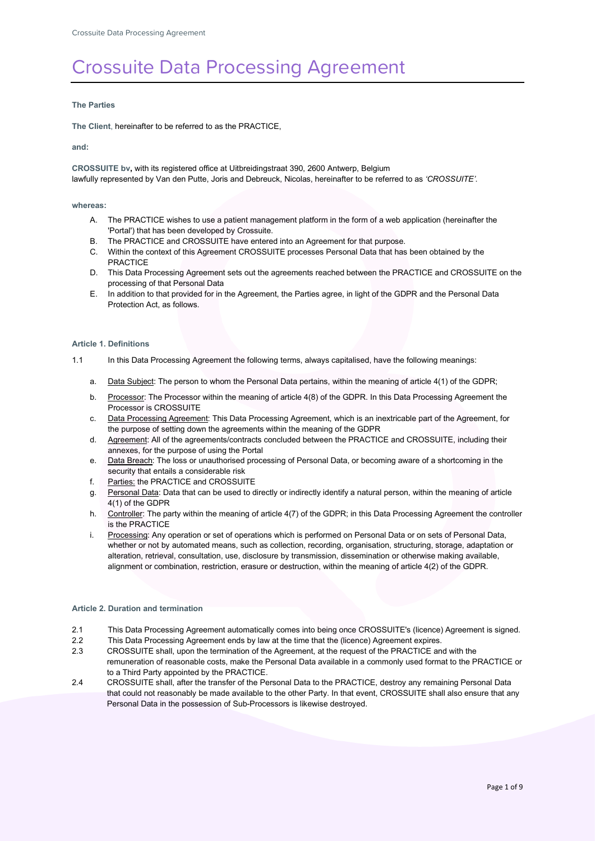# Crossuite Data Processing Agreement

### **The Parties**

**The Client**, hereinafter to be referred to as the PRACTICE,

**and:**

**CROSSUITE bv,** with its registered office at Uitbreidingstraat 390, 2600 Antwerp, Belgium lawfully represented by Van den Putte, Joris and Debreuck, Nicolas, hereinafter to be referred to as *'CROSSUITE'*.

#### **whereas:**

- A. The PRACTICE wishes to use a patient management platform in the form of a web application (hereinafter the 'Portal') that has been developed by Crossuite.
- B. The PRACTICE and CROSSUITE have entered into an Agreement for that purpose.
- C. Within the context of this Agreement CROSSUITE processes Personal Data that has been obtained by the **PRACTICE**
- D. This Data Processing Agreement sets out the agreements reached between the PRACTICE and CROSSUITE on the processing of that Personal Data
- E. In addition to that provided for in the Agreement, the Parties agree, in light of the GDPR and the Personal Data Protection Act, as follows.

#### **Article 1. Definitions**

- 1.1 In this Data Processing Agreement the following terms, always capitalised, have the following meanings:
	- a. Data Subject: The person to whom the Personal Data pertains, within the meaning of article 4(1) of the GDPR;
	- b. Processor: The Processor within the meaning of article 4(8) of the GDPR. In this Data Processing Agreement the Processor is CROSSUITE
	- c. Data Processing Agreement: This Data Processing Agreement, which is an inextricable part of the Agreement, for the purpose of setting down the agreements within the meaning of the GDPR
	- d. Agreement: All of the agreements/contracts concluded between the PRACTICE and CROSSUITE, including their annexes, for the purpose of using the Portal
	- e. Data Breach: The loss or unauthorised processing of Personal Data, or becoming aware of a shortcoming in the security that entails a considerable risk
	- f. Parties: the PRACTICE and CROSSUITE
	- g. Personal Data: Data that can be used to directly or indirectly identify a natural person, within the meaning of article 4(1) of the GDPR
	- h. Controller: The party within the meaning of article 4(7) of the GDPR; in this Data Processing Agreement the controller is the PRACTICE
	- i. Processing: Any operation or set of operations which is performed on Personal Data or on sets of Personal Data, whether or not by automated means, such as collection, recording, organisation, structuring, storage, adaptation or alteration, retrieval, consultation, use, disclosure by transmission, dissemination or otherwise making available, alignment or combination, restriction, erasure or destruction, within the meaning of article 4(2) of the GDPR.

#### **Article 2. Duration and termination**

- 2.1 This Data Processing Agreement automatically comes into being once CROSSUITE's (licence) Agreement is signed.
- 2.2 This Data Processing Agreement ends by law at the time that the (licence) Agreement expires.
- 2.3 CROSSUITE shall, upon the termination of the Agreement, at the request of the PRACTICE and with the remuneration of reasonable costs, make the Personal Data available in a commonly used format to the PRACTICE or to a Third Party appointed by the PRACTICE.
- 2.4 CROSSUITE shall, after the transfer of the Personal Data to the PRACTICE, destroy any remaining Personal Data that could not reasonably be made available to the other Party. In that event, CROSSUITE shall also ensure that any Personal Data in the possession of Sub-Processors is likewise destroyed.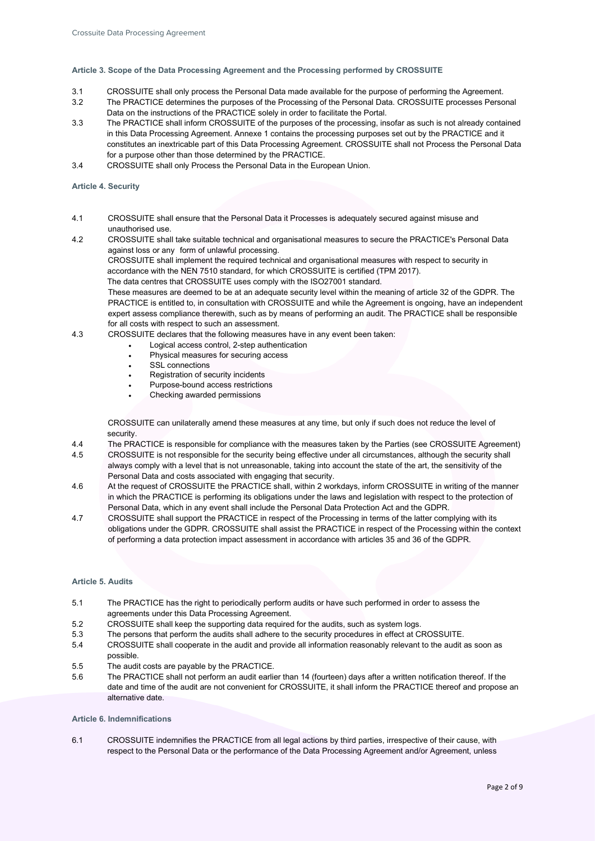#### **Article 3. Scope of the Data Processing Agreement and the Processing performed by CROSSUITE**

- 3.1 CROSSUITE shall only process the Personal Data made available for the purpose of performing the Agreement.
- 3.2 The PRACTICE determines the purposes of the Processing of the Personal Data. CROSSUITE processes Personal Data on the instructions of the PRACTICE solely in order to facilitate the Portal.
- 3.3 The PRACTICE shall inform CROSSUITE of the purposes of the processing, insofar as such is not already contained in this Data Processing Agreement. Annexe 1 contains the processing purposes set out by the PRACTICE and it constitutes an inextricable part of this Data Processing Agreement. CROSSUITE shall not Process the Personal Data for a purpose other than those determined by the PRACTICE.
- 3.4 CROSSUITE shall only Process the Personal Data in the European Union.

#### **Article 4. Security**

- 4.1 CROSSUITE shall ensure that the Personal Data it Processes is adequately secured against misuse and unauthorised use.
- 4.2 CROSSUITE shall take suitable technical and organisational measures to secure the PRACTICE's Personal Data against loss or any form of unlawful processing.

CROSSUITE shall implement the required technical and organisational measures with respect to security in accordance with the NEN 7510 standard, for which CROSSUITE is certified (TPM 2017).

The data centres that CROSSUITE uses comply with the ISO27001 standard.

These measures are deemed to be at an adequate security level within the meaning of article 32 of the GDPR. The PRACTICE is entitled to, in consultation with CROSSUITE and while the Agreement is ongoing, have an independent expert assess compliance therewith, such as by means of performing an audit. The PRACTICE shall be responsible for all costs with respect to such an assessment.

- 4.3 CROSSUITE declares that the following measures have in any event been taken:
	- Logical access control, 2-step authentication
		- Physical measures for securing access
		- SSL connections
		- Registration of security incidents
		- Purpose-bound access restrictions
		- Checking awarded permissions

CROSSUITE can unilaterally amend these measures at any time, but only if such does not reduce the level of security.

4.4 The PRACTICE is responsible for compliance with the measures taken by the Parties (see CROSSUITE Agreement)

- 4.5 CROSSUITE is not responsible for the security being effective under all circumstances, although the security shall always comply with a level that is not unreasonable, taking into account the state of the art, the sensitivity of the Personal Data and costs associated with engaging that security.
- 4.6 At the request of CROSSUITE the PRACTICE shall, within 2 workdays, inform CROSSUITE in writing of the manner in which the PRACTICE is performing its obligations under the laws and legislation with respect to the protection of Personal Data, which in any event shall include the Personal Data Protection Act and the GDPR.
- 4.7 CROSSUITE shall support the PRACTICE in respect of the Processing in terms of the latter complying with its obligations under the GDPR. CROSSUITE shall assist the PRACTICE in respect of the Processing within the context of performing a data protection impact assessment in accordance with articles 35 and 36 of the GDPR.

#### **Article 5. Audits**

- 5.1 The PRACTICE has the right to periodically perform audits or have such performed in order to assess the agreements under this Data Processing Agreement.
- 5.2 CROSSUITE shall keep the supporting data required for the audits, such as system logs.
- 5.3 The persons that perform the audits shall adhere to the security procedures in effect at CROSSUITE.
- 5.4 CROSSUITE shall cooperate in the audit and provide all information reasonably relevant to the audit as soon as possible.
- 5.5 The audit costs are payable by the PRACTICE.
- 5.6 The PRACTICE shall not perform an audit earlier than 14 (fourteen) days after a written notification thereof. If the date and time of the audit are not convenient for CROSSUITE, it shall inform the PRACTICE thereof and propose an alternative date.

## **Article 6. Indemnifications**

6.1 CROSSUITE indemnifies the PRACTICE from all legal actions by third parties, irrespective of their cause, with respect to the Personal Data or the performance of the Data Processing Agreement and/or Agreement, unless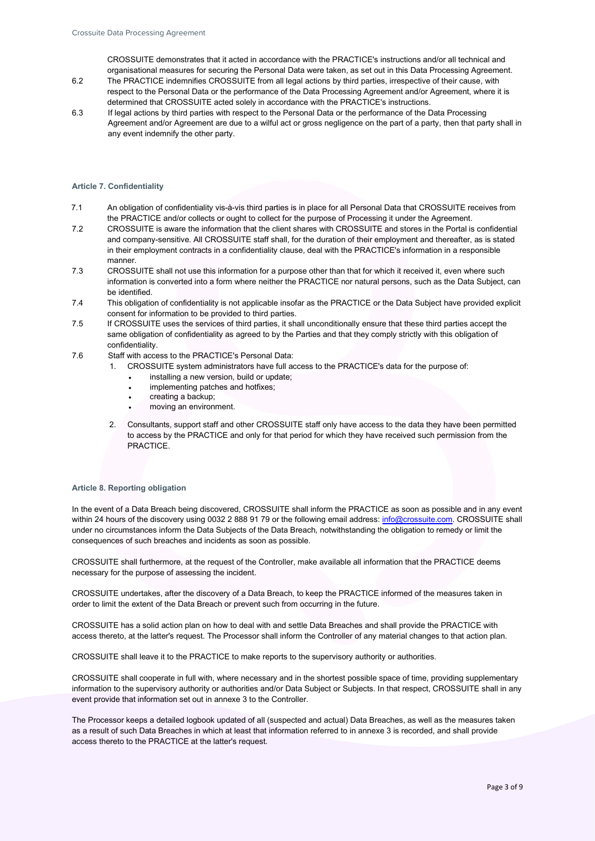CROSSUITE demonstrates that it acted in accordance with the PRACTICE's instructions and/or all technical and organisational measures for securing the Personal Data were taken, as set out in this Data Processing Agreement.

- 6.2 The PRACTICE indemnifies CROSSUITE from all legal actions by third parties, irrespective of their cause, with respect to the Personal Data or the performance of the Data Processing Agreement and/or Agreement, where it is determined that CROSSUITE acted solely in accordance with the PRACTICE's instructions.
- 6.3 If legal actions by third parties with respect to the Personal Data or the performance of the Data Processing Agreement and/or Agreement are due to a wilful act or gross negligence on the part of a party, then that party shall in any event indemnify the other party.

#### **Article 7. Confidentiality**

- 7.1 An obligation of confidentiality vis-à-vis third parties is in place for all Personal Data that CROSSUITE receives from the PRACTICE and/or collects or ought to collect for the purpose of Processing it under the Agreement.
- 7.2 CROSSUITE is aware the information that the client shares with CROSSUITE and stores in the Portal is confidential and company-sensitive. All CROSSUITE staff shall, for the duration of their employment and thereafter, as is stated in their employment contracts in a confidentiality clause, deal with the PRACTICE's information in a responsible manner.
- 7.3 CROSSUITE shall not use this information for a purpose other than that for which it received it, even where such information is converted into a form where neither the PRACTICE nor natural persons, such as the Data Subject, can be identified.
- 7.4 This obligation of confidentiality is not applicable insofar as the PRACTICE or the Data Subject have provided explicit consent for information to be provided to third parties.
- 7.5 If CROSSUITE uses the services of third parties, it shall unconditionally ensure that these third parties accept the same obligation of confidentiality as agreed to by the Parties and that they comply strictly with this obligation of confidentiality.
- 7.6 Staff with access to the PRACTICE's Personal Data:
	- 1. CROSSUITE system administrators have full access to the PRACTICE's data for the purpose of:
		- installing a new version, build or update;
		- implementing patches and hotfixes;
		- creating a backup;
		- moving an environment.
	- 2. Consultants, support staff and other CROSSUITE staff only have access to the data they have been permitted to access by the PRACTICE and only for that period for which they have received such permission from the PRACTICE.

#### **Article 8. Reporting obligation**

In the event of a Data Breach being discovered, CROSSUITE shall inform the PRACTICE as soon as possible and in any event within 24 hours of the discovery using 0032 2 888 91 79 or the following email address[: info@crossuite.com.](mailto:info@crossuite.com) CROSSUITE shall under no circumstances inform the Data Subjects of the Data Breach, notwithstanding the obligation to remedy or limit the consequences of such breaches and incidents as soon as possible.

CROSSUITE shall furthermore, at the request of the Controller, make available all information that the PRACTICE deems necessary for the purpose of assessing the incident.

CROSSUITE undertakes, after the discovery of a Data Breach, to keep the PRACTICE informed of the measures taken in order to limit the extent of the Data Breach or prevent such from occurring in the future.

CROSSUITE has a solid action plan on how to deal with and settle Data Breaches and shall provide the PRACTICE with access thereto, at the latter's request. The Processor shall inform the Controller of any material changes to that action plan.

CROSSUITE shall leave it to the PRACTICE to make reports to the supervisory authority or authorities.

CROSSUITE shall cooperate in full with, where necessary and in the shortest possible space of time, providing supplementary information to the supervisory authority or authorities and/or Data Subject or Subjects. In that respect, CROSSUITE shall in any event provide that information set out in annexe 3 to the Controller.

The Processor keeps a detailed logbook updated of all (suspected and actual) Data Breaches, as well as the measures taken as a result of such Data Breaches in which at least that information referred to in annexe 3 is recorded, and shall provide access thereto to the PRACTICE at the latter's request.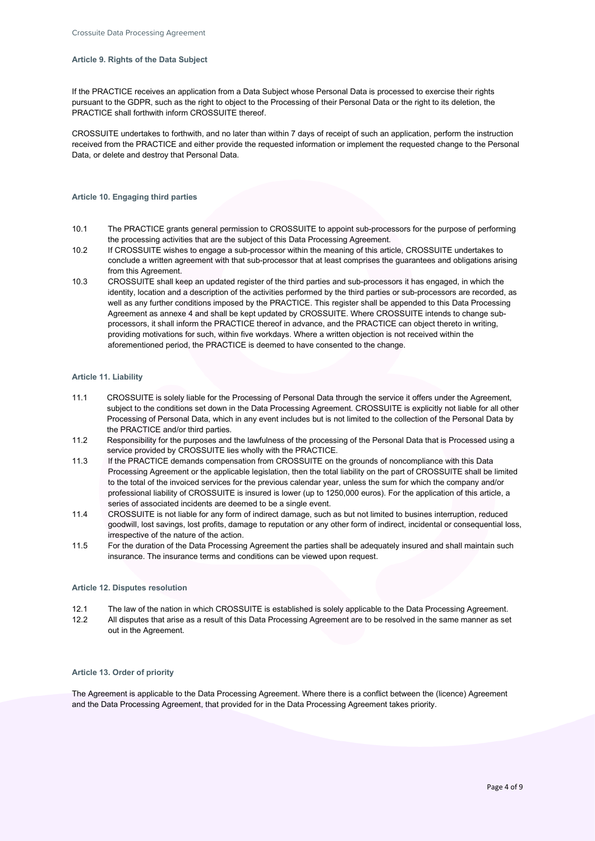#### **Article 9. Rights of the Data Subject**

If the PRACTICE receives an application from a Data Subject whose Personal Data is processed to exercise their rights pursuant to the GDPR, such as the right to object to the Processing of their Personal Data or the right to its deletion, the PRACTICE shall forthwith inform CROSSUITE thereof.

CROSSUITE undertakes to forthwith, and no later than within 7 days of receipt of such an application, perform the instruction received from the PRACTICE and either provide the requested information or implement the requested change to the Personal Data, or delete and destroy that Personal Data.

#### **Article 10. Engaging third parties**

- 10.1 The PRACTICE grants general permission to CROSSUITE to appoint sub-processors for the purpose of performing the processing activities that are the subject of this Data Processing Agreement.
- 10.2 If CROSSUITE wishes to engage a sub-processor within the meaning of this article, CROSSUITE undertakes to conclude a written agreement with that sub-processor that at least comprises the guarantees and obligations arising from this Agreement.
- 10.3 CROSSUITE shall keep an updated register of the third parties and sub-processors it has engaged, in which the identity, location and a description of the activities performed by the third parties or sub-processors are recorded, as well as any further conditions imposed by the PRACTICE. This register shall be appended to this Data Processing Agreement as annexe 4 and shall be kept updated by CROSSUITE. Where CROSSUITE intends to change subprocessors, it shall inform the PRACTICE thereof in advance, and the PRACTICE can object thereto in writing, providing motivations for such, within five workdays. Where a written objection is not received within the aforementioned period, the PRACTICE is deemed to have consented to the change.

## **Article 11. Liability**

- 11.1 CROSSUITE is solely liable for the Processing of Personal Data through the service it offers under the Agreement, subject to the conditions set down in the Data Processing Agreement. CROSSUITE is explicitly not liable for all other Processing of Personal Data, which in any event includes but is not limited to the collection of the Personal Data by the PRACTICE and/or third parties.
- 11.2 Responsibility for the purposes and the lawfulness of the processing of the Personal Data that is Processed using a service provided by CROSSUITE lies wholly with the PRACTICE.
- 11.3 If the PRACTICE demands compensation from CROSSUITE on the grounds of noncompliance with this Data Processing Agreement or the applicable legislation, then the total liability on the part of CROSSUITE shall be limited to the total of the invoiced services for the previous calendar year, unless the sum for which the company and/or professional liability of CROSSUITE is insured is lower (up to 1250,000 euros). For the application of this article, a series of associated incidents are deemed to be a single event.
- 11.4 CROSSUITE is not liable for any form of indirect damage, such as but not limited to busines interruption, reduced goodwill, lost savings, lost profits, damage to reputation or any other form of indirect, incidental or consequential loss, irrespective of the nature of the action.
- 11.5 For the duration of the Data Processing Agreement the parties shall be adequately insured and shall maintain such insurance. The insurance terms and conditions can be viewed upon request.

#### **Article 12. Disputes resolution**

- 12.1 The law of the nation in which CROSSUITE is established is solely applicable to the Data Processing Agreement.
- 12.2 All disputes that arise as a result of this Data Processing Agreement are to be resolved in the same manner as set out in the Agreement.

#### **Article 13. Order of priority**

The Agreement is applicable to the Data Processing Agreement. Where there is a conflict between the (licence) Agreement and the Data Processing Agreement, that provided for in the Data Processing Agreement takes priority.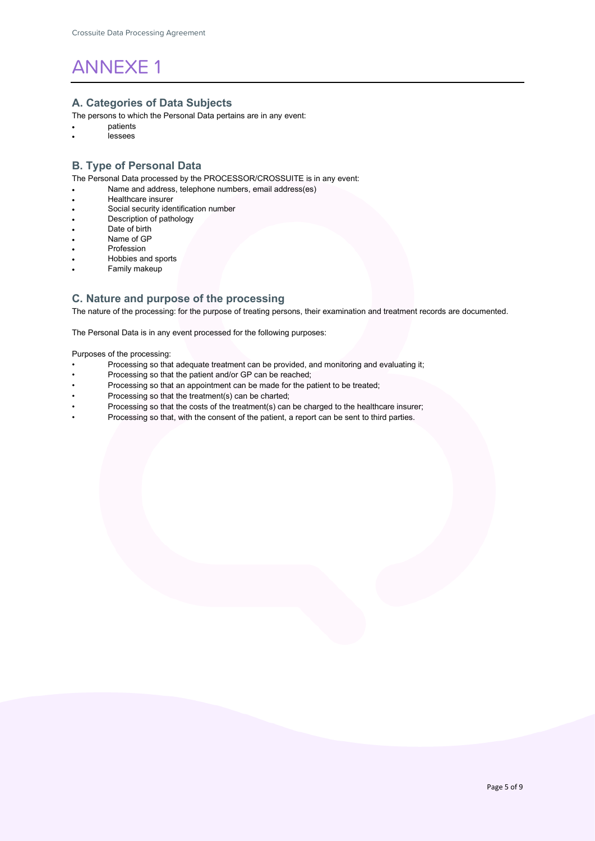# ANNEXE 1

## **A. Categories of Data Subjects**

The persons to which the Personal Data pertains are in any event:

- patients
- **lessees**

## **B. Type of Personal Data**

The Personal Data processed by the PROCESSOR/CROSSUITE is in any event:

- Name and address, telephone numbers, email address(es)
- Healthcare insurer
- Social security identification number
- Description of pathology
- Date of birth
- Name of GP
- Profession
- Hobbies and sports
- Family makeup

## **C. Nature and purpose of the processing**

The nature of the processing: for the purpose of treating persons, their examination and treatment records are documented.

The Personal Data is in any event processed for the following purposes:

Purposes of the processing:

- Processing so that adequate treatment can be provided, and monitoring and evaluating it;
- Processing so that the patient and/or GP can be reached;
- Processing so that an appointment can be made for the patient to be treated;
- Processing so that the treatment(s) can be charted;
- Processing so that the costs of the treatment(s) can be charged to the healthcare insurer;
- Processing so that, with the consent of the patient, a report can be sent to third parties.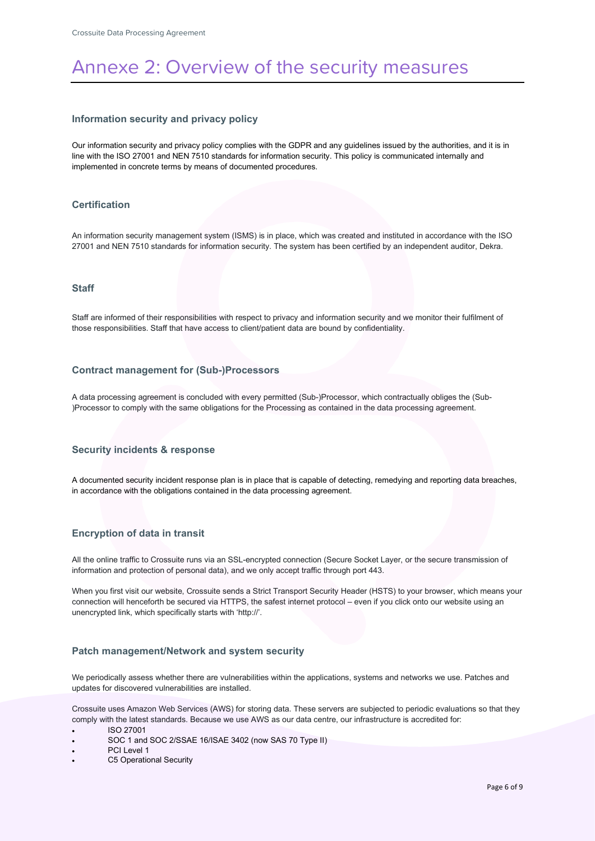## Annexe 2: Overview of the security measures

## **Information security and privacy policy**

Our information security and privacy policy complies with the GDPR and any guidelines issued by the authorities, and it is in line with the ISO 27001 and NEN 7510 standards for information security. This policy is communicated internally and implemented in concrete terms by means of documented procedures.

### **Certification**

An information security management system (ISMS) is in place, which was created and instituted in accordance with the ISO 27001 and NEN 7510 standards for information security. The system has been certified by an independent auditor, Dekra.

## **Staff**

Staff are informed of their responsibilities with respect to privacy and information security and we monitor their fulfilment of those responsibilities. Staff that have access to client/patient data are bound by confidentiality.

## **Contract management for (Sub-)Processors**

A data processing agreement is concluded with every permitted (Sub-)Processor, which contractually obliges the (Sub- )Processor to comply with the same obligations for the Processing as contained in the data processing agreement.

## **Security incidents & response**

A documented security incident response plan is in place that is capable of detecting, remedying and reporting data breaches, in accordance with the obligations contained in the data processing agreement.

## **Encryption of data in transit**

All the online traffic to Crossuite runs via an SSL-encrypted connection (Secure Socket Layer, or the secure transmission of information and protection of personal data), and we only accept traffic through port 443.

When you first visit our website, Crossuite sends a Strict Transport Security Header (HSTS) to your browser, which means your connection will henceforth be secured via HTTPS, the safest internet protocol – even if you click onto our website using an unencrypted link, which specifically starts with 'http://'.

## **Patch management/Network and system security**

We periodically assess whether there are vulnerabilities within the applications, systems and networks we use. Patches and updates for discovered vulnerabilities are installed.

Crossuite uses Amazon Web Services (AWS) for storing data. These servers are subjected to periodic evaluations so that they comply with the latest standards. Because we use AWS as our data centre, our infrastructure is accredited for:

- ISO 27001
- SOC 1 and SOC 2/SSAE 16/ISAE 3402 (now SAS 70 Type II)
- PCI Level 1
- C5 Operational Security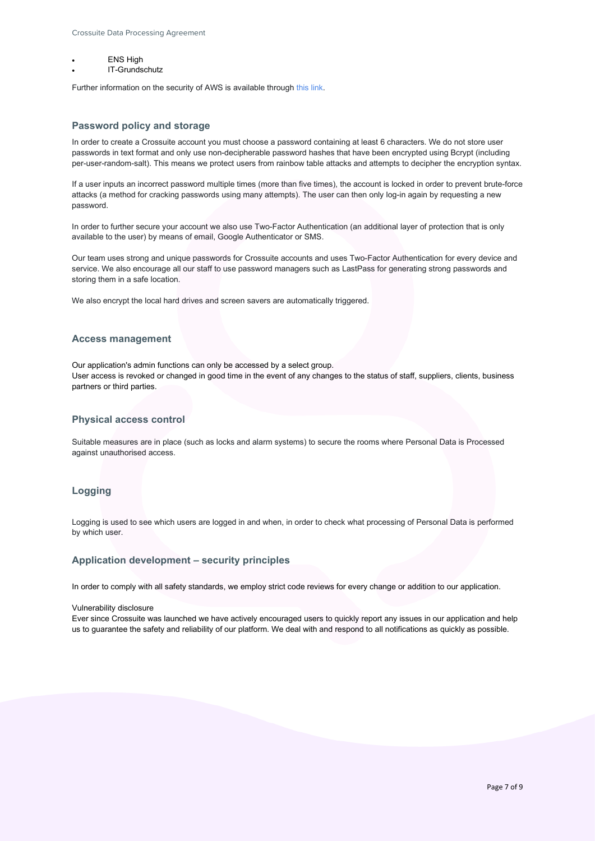- **ENS High**
- IT-Grundschutz

Further information on the security of AWS is available throug[h this link.](https://aws.amazon.com/compliance/programs/)

### **Password policy and storage**

In order to create a Crossuite account you must choose a password containing at least 6 characters. We do not store user passwords in text format and only use non-decipherable password hashes that have been encrypted using Bcrypt [\(including](https://nl.wikipedia.org/wiki/Salt_(cryptografie))  [per-user-random-salt\).](https://nl.wikipedia.org/wiki/Salt_(cryptografie)) This means we protect users fro[m rainbow table](https://nl.wikipedia.org/wiki/Rainbow_table) attacks and attempts to decipher the encryption syntax.

If a user inputs an incorrect password multiple times (more than five times), the account is locked in order to prevent brute-force attacks (a method for cracking passwords using many attempts). The user can then only log-in again by requesting a new password.

In order to further secure your account we also use Two-Factor Authentication (an additional layer of protection that is only available to the user) by means of email, Google Authenticator or SMS.

Our team uses strong and unique passwords for Crossuite accounts and uses Two-Factor Authentication for every device and service. We also encourage all our staff to use password managers such as LastPass for generating strong passwords and storing them in a safe location.

We also encrypt the local hard drives and screen savers are automatically triggered.

#### **Access management**

Our application's admin functions can only be accessed by a select group. User access is revoked or changed in good time in the event of any changes to the status of staff, suppliers, clients, business partners or third parties.

#### **Physical access control**

Suitable measures are in place (such as locks and alarm systems) to secure the rooms where Personal Data is Processed against unauthorised access.

## **Logging**

Logging is used to see which users are logged in and when, in order to check what processing of Personal Data is performed by which user.

#### **Application development – security principles**

In order to comply with all safety standards, we employ strict code reviews for every change or addition to our application.

#### Vulnerability disclosure

Ever since Crossuite was launched we have actively encouraged users to quickly report any issues in our application and help us to guarantee the safety and reliability of our platform. We deal with and respond to all notifications as quickly as possible.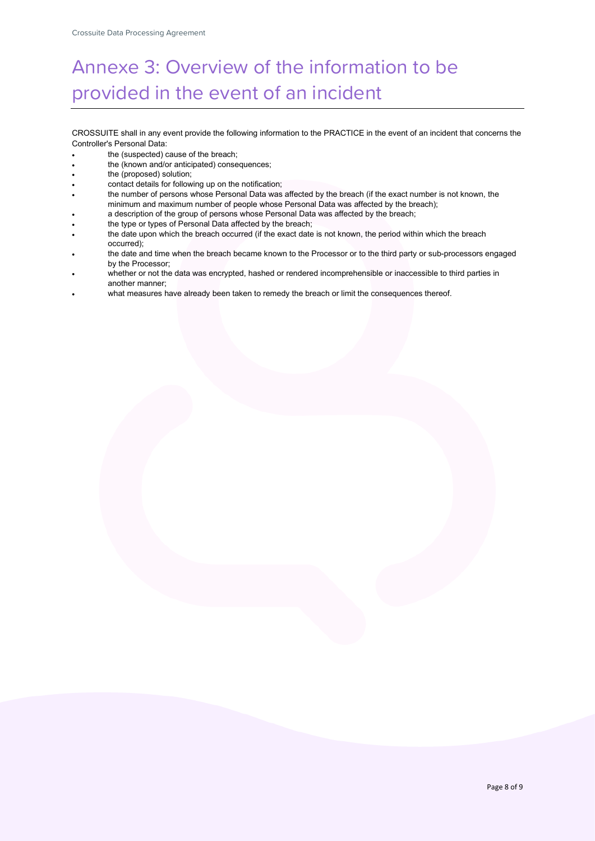# Annexe 3: Overview of the information to be provided in the event of an incident

CROSSUITE shall in any event provide the following information to the PRACTICE in the event of an incident that concerns the Controller's Personal Data:

- the (suspected) cause of the breach;
- the (known and/or anticipated) consequences;
- the (proposed) solution;
- contact details for following up on the notification;
- the number of persons whose Personal Data was affected by the breach (if the exact number is not known, the minimum and maximum number of people whose Personal Data was affected by the breach);
- a description of the group of persons whose Personal Data was affected by the breach;
- the type or types of Personal Data affected by the breach;
- the date upon which the breach occurred (if the exact date is not known, the period within which the breach occurred);
- the date and time when the breach became known to the Processor or to the third party or sub-processors engaged by the Processor;
- whether or not the data was encrypted, hashed or rendered incomprehensible or inaccessible to third parties in another manner;
- what measures have already been taken to remedy the breach or limit the consequences thereof.